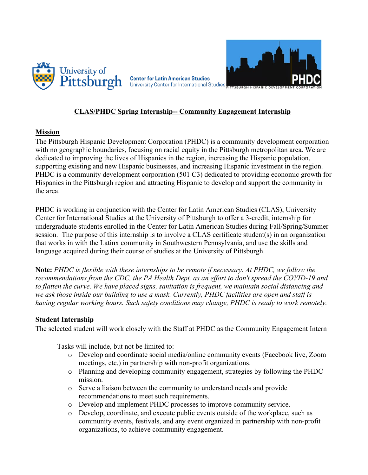

## **CLAS/PHDC Spring Internship-- Community Engagement Internship**

## **Mission**

The Pittsburgh Hispanic Development Corporation (PHDC) is a community development corporation with no geographic boundaries, focusing on racial equity in the Pittsburgh metropolitan area. We are dedicated to improving the lives of Hispanics in the region, increasing the Hispanic population, supporting existing and new Hispanic businesses, and increasing Hispanic investment in the region. PHDC is a community development corporation (501 C3) dedicated to providing economic growth for Hispanics in the Pittsburgh region and attracting Hispanic to develop and support the community in the area.

PHDC is working in conjunction with the Center for Latin American Studies (CLAS), University Center for International Studies at the University of Pittsburgh to offer a 3-credit, internship for undergraduate students enrolled in the Center for Latin American Studies during Fall/Spring/Summer session. The purpose of this internship is to involve a CLAS certificate student(s) in an organization that works in with the Latinx community in Southwestern Pennsylvania, and use the skills and language acquired during their course of studies at the University of Pittsburgh.

**Note:** *PHDC is flexible with these internships to be remote if necessary. At PHDC, we follow the recommendations from the CDC, the PA Health Dept. as an effort to don't spread the COVID-19 and to flatten the curve. We have placed signs, sanitation is frequent, we maintain social distancing and we ask those inside our building to use a mask. Currently, PHDC facilities are open and staff is having regular working hours. Such safety conditions may change, PHDC is ready to work remotely.* 

## **Student Internship**

The selected student will work closely with the Staff at PHDC as the Community Engagement Intern

Tasks will include, but not be limited to:

- o Develop and coordinate social media/online community events (Facebook live, Zoom meetings, etc.) in partnership with non-profit organizations.
- o Planning and developing community engagement, strategies by following the PHDC mission.
- o Serve a liaison between the community to understand needs and provide recommendations to meet such requirements.
- Develop and implement PHDC processes to improve community service.
- o Develop, coordinate, and execute public events outside of the workplace, such as community events, festivals, and any event organized in partnership with non-profit organizations, to achieve community engagement.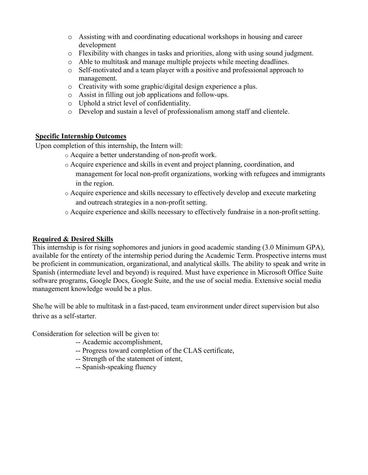- o Assisting with and coordinating educational workshops in housing and career development
- o Flexibility with changes in tasks and priorities, along with using sound judgment.
- o Able to multitask and manage multiple projects while meeting deadlines.
- o Self-motivated and a team player with a positive and professional approach to management.
- o Creativity with some graphic/digital design experience a plus.
- o Assist in filling out job applications and follow-ups.
- o Uphold a strict level of confidentiality.
- o Develop and sustain a level of professionalism among staff and clientele.

## **Specific Internship Outcomes**

Upon completion of this internship, the Intern will:

- o Acquire a better understanding of non-profit work.
- o Acquire experience and skills in event and project planning, coordination, and management for local non-profit organizations, working with refugees and immigrants in the region.
- o Acquire experience and skills necessary to effectively develop and execute marketing and outreach strategies in a non-profit setting.
- o Acquire experience and skills necessary to effectively fundraise in a non-profitsetting.

# **Required & Desired Skills**

This internship is for rising sophomores and juniors in good academic standing (3.0 Minimum GPA), available for the entirety of the internship period during the Academic Term. Prospective interns must be proficient in communication, organizational, and analytical skills. The ability to speak and write in Spanish (intermediate level and beyond) is required. Must have experience in Microsoft Office Suite software programs, Google Docs, Google Suite, and the use of social media. Extensive social media management knowledge would be a plus.

She/he will be able to multitask in a fast-paced, team environment under direct supervision but also thrive as a self-starter.

Consideration for selection will be given to:

- -- Academic accomplishment,
- -- Progress toward completion of the CLAS certificate,
- -- Strength of the statement of intent,
- -- Spanish-speaking fluency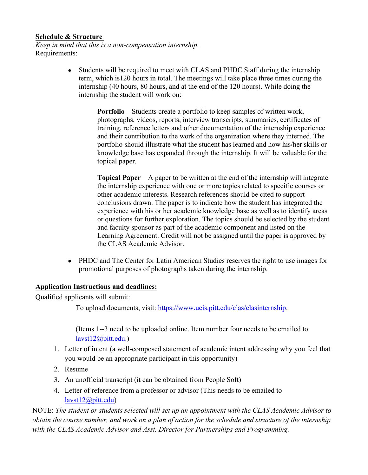#### **Schedule & Structure**

*Keep in mind that this is a non-compensation internship.* Requirements:

> • Students will be required to meet with CLAS and PHDC Staff during the internship term, which is120 hours in total. The meetings will take place three times during the internship (40 hours, 80 hours, and at the end of the 120 hours). While doing the internship the student will work on:

> > **Portfolio**—Students create a portfolio to keep samples of written work, photographs, videos, reports, interview transcripts, summaries, certificates of training, reference letters and other documentation of the internship experience and their contribution to the work of the organization where they interned. The portfolio should illustrate what the student has learned and how his/her skills or knowledge base has expanded through the internship. It will be valuable for the topical paper.

**Topical Paper**—A paper to be written at the end of the internship will integrate the internship experience with one or more topics related to specific courses or other academic interests. Research references should be cited to support conclusions drawn. The paper is to indicate how the student has integrated the experience with his or her academic knowledge base as well as to identify areas or questions for further exploration. The topics should be selected by the student and faculty sponsor as part of the academic component and listed on the Learning Agreement. Credit will not be assigned until the paper is approved by the CLAS Academic Advisor.

• PHDC and The Center for Latin American Studies reserves the right to use images for promotional purposes of photographs taken during the internship.

## **Application Instructions and deadlines:**

Qualified applicants will submit:

To upload documents, visit: [https://www.ucis.pitt.edu/clas/clasinternship.](https://www.ucis.pitt.edu/clas/clasinternship)

(Items 1--3 need to be uploaded online. Item number four needs to be emailed to [lavst12@pitt.edu.](mailto:lavst12@pitt.edu))

- 1. Letter of intent (a well-composed statement of academic intent addressing why you feel that you would be an appropriate participant in this opportunity)
- 2. Resume
- 3. An unofficial transcript (it can be obtained from People Soft)
- 4. Letter of reference from a professor or advisor (This needs to be emailed to [lavst12@pitt.edu\)](mailto:lavst12@pitt.edu)

NOTE: *The student or students selected will set up an appointment with the CLAS Academic Advisor to obtain the course number, and work on a plan of action for the schedule and structure of the internship with the CLAS Academic Advisor and Asst. Director for Partnerships and Programming.*